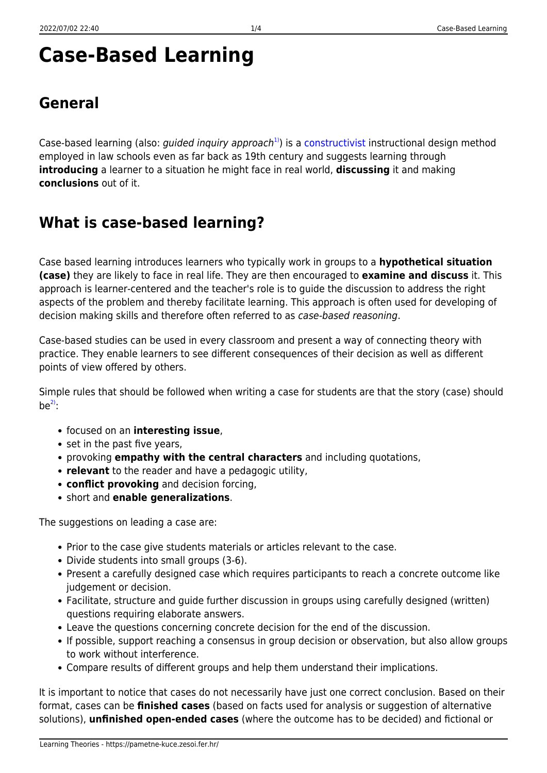# **Case-Based Learning**

## **General**

Case-based learning (also: *guided inquiry approach*<sup>[1\)](#page--1-0)</sup>) is a [constructivist](https://pametne-kuce.zesoi.fer.hr/doku.php?id=learning_paradigms:constructivism) instructional design method employed in law schools even as far back as 19th century and suggests learning through **introducing** a learner to a situation he might face in real world, **discussing** it and making **conclusions** out of it.

## **What is case-based learning?**

Case based learning introduces learners who typically work in groups to a **hypothetical situation (case)** they are likely to face in real life. They are then encouraged to **examine and discuss** it. This approach is learner-centered and the teacher's role is to guide the discussion to address the right aspects of the problem and thereby facilitate learning. This approach is often used for developing of decision making skills and therefore often referred to as case-based reasoning.

Case-based studies can be used in every classroom and present a way of connecting theory with practice. They enable learners to see different consequences of their decision as well as different points of view offered by others.

Simple rules that should be followed when writing a case for students are that the story (case) should  $be^{2}$ :

- focused on an **interesting issue**,
- set in the past five years,
- provoking **empathy with the central characters** and including quotations,
- **relevant** to the reader and have a pedagogic utility,
- **conflict provoking** and decision forcing,
- short and **enable generalizations**.

The suggestions on leading a case are:

- Prior to the case give students materials or articles relevant to the case.
- Divide students into small groups (3-6).
- Present a carefully designed case which requires participants to reach a concrete outcome like judgement or decision.
- Facilitate, structure and guide further discussion in groups using carefully designed (written) questions requiring elaborate answers.
- Leave the questions concerning concrete decision for the end of the discussion.
- If possible, support reaching a consensus in group decision or observation, but also allow groups to work without interference.
- Compare results of different groups and help them understand their implications.

It is important to notice that cases do not necessarily have just one correct conclusion. Based on their format, cases can be **finished cases** (based on facts used for analysis or suggestion of alternative solutions), **unfinished open-ended cases** (where the outcome has to be decided) and fictional or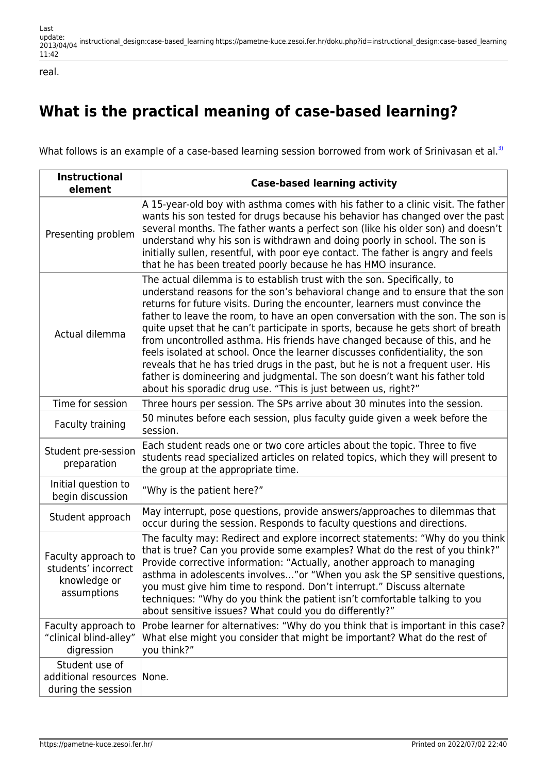real.

# **What is the practical meaning of case-based learning?**

What follows is an example of a case-based learning session borrowed from work of Srinivasan et al.<sup>[3\)](#page--1-0)</sup>

| <b>Instructional</b><br>element                                           | <b>Case-based learning activity</b>                                                                                                                                                                                                                                                                                                                                                                                                                                                                                                                                                                                                                                                                                                                                                                              |
|---------------------------------------------------------------------------|------------------------------------------------------------------------------------------------------------------------------------------------------------------------------------------------------------------------------------------------------------------------------------------------------------------------------------------------------------------------------------------------------------------------------------------------------------------------------------------------------------------------------------------------------------------------------------------------------------------------------------------------------------------------------------------------------------------------------------------------------------------------------------------------------------------|
| Presenting problem                                                        | A 15-year-old boy with asthma comes with his father to a clinic visit. The father<br>wants his son tested for drugs because his behavior has changed over the past<br>several months. The father wants a perfect son (like his older son) and doesn't<br>understand why his son is withdrawn and doing poorly in school. The son is<br>initially sullen, resentful, with poor eye contact. The father is angry and feels<br>that he has been treated poorly because he has HMO insurance.                                                                                                                                                                                                                                                                                                                        |
| Actual dilemma                                                            | The actual dilemma is to establish trust with the son. Specifically, to<br>understand reasons for the son's behavioral change and to ensure that the son<br>returns for future visits. During the encounter, learners must convince the<br>father to leave the room, to have an open conversation with the son. The son is<br>quite upset that he can't participate in sports, because he gets short of breath<br>from uncontrolled asthma. His friends have changed because of this, and he<br>feels isolated at school. Once the learner discusses confidentiality, the son<br>reveals that he has tried drugs in the past, but he is not a frequent user. His<br>father is domineering and judgmental. The son doesn't want his father told<br>about his sporadic drug use. "This is just between us, right?" |
| Time for session                                                          | Three hours per session. The SPs arrive about 30 minutes into the session.                                                                                                                                                                                                                                                                                                                                                                                                                                                                                                                                                                                                                                                                                                                                       |
| Faculty training                                                          | 50 minutes before each session, plus faculty quide given a week before the<br>session.                                                                                                                                                                                                                                                                                                                                                                                                                                                                                                                                                                                                                                                                                                                           |
| Student pre-session<br>preparation                                        | Each student reads one or two core articles about the topic. Three to five<br>students read specialized articles on related topics, which they will present to<br>the group at the appropriate time.                                                                                                                                                                                                                                                                                                                                                                                                                                                                                                                                                                                                             |
| Initial question to<br>begin discussion                                   | "Why is the patient here?"                                                                                                                                                                                                                                                                                                                                                                                                                                                                                                                                                                                                                                                                                                                                                                                       |
| Student approach                                                          | May interrupt, pose questions, provide answers/approaches to dilemmas that<br>occur during the session. Responds to faculty questions and directions.                                                                                                                                                                                                                                                                                                                                                                                                                                                                                                                                                                                                                                                            |
| Faculty approach to<br>students' incorrect<br>knowledge or<br>assumptions | The faculty may: Redirect and explore incorrect statements: "Why do you think<br>that is true? Can you provide some examples? What do the rest of you think?"<br>Provide corrective information: "Actually, another approach to managing<br>asthma in adolescents involves" or "When you ask the SP sensitive questions,<br>you must give him time to respond. Don't interrupt." Discuss alternate<br>techniques: "Why do you think the patient isn't comfortable talking to you<br>about sensitive issues? What could you do differently?"                                                                                                                                                                                                                                                                      |
| Faculty approach to<br>"clinical blind-alley"<br>digression               | Probe learner for alternatives: "Why do you think that is important in this case?<br>What else might you consider that might be important? What do the rest of<br>you think?"                                                                                                                                                                                                                                                                                                                                                                                                                                                                                                                                                                                                                                    |
| Student use of<br>additional resources<br>during the session              | None.                                                                                                                                                                                                                                                                                                                                                                                                                                                                                                                                                                                                                                                                                                                                                                                                            |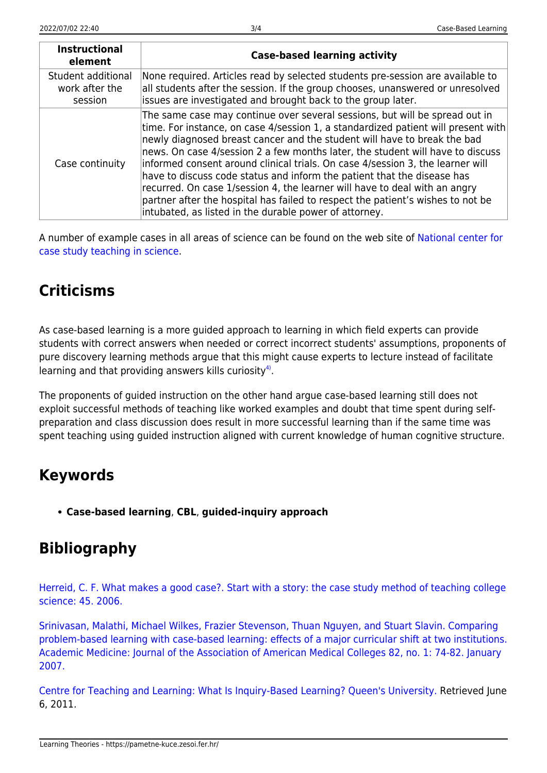| <b>Instructional</b><br>element                 | <b>Case-based learning activity</b>                                                                                                                                                                                                                                                                                                                                                                                                                                                                                                                                                                                                                                                                                    |
|-------------------------------------------------|------------------------------------------------------------------------------------------------------------------------------------------------------------------------------------------------------------------------------------------------------------------------------------------------------------------------------------------------------------------------------------------------------------------------------------------------------------------------------------------------------------------------------------------------------------------------------------------------------------------------------------------------------------------------------------------------------------------------|
| Student additional<br>work after the<br>session | None required. Articles read by selected students pre-session are available to<br>all students after the session. If the group chooses, unanswered or unresolved<br>issues are investigated and brought back to the group later.                                                                                                                                                                                                                                                                                                                                                                                                                                                                                       |
| Case continuity                                 | The same case may continue over several sessions, but will be spread out in<br>time. For instance, on case 4/session 1, a standardized patient will present with<br>newly diagnosed breast cancer and the student will have to break the bad<br>news. On case 4/session 2 a few months later, the student will have to discuss<br>informed consent around clinical trials. On case 4/session 3, the learner will<br>have to discuss code status and inform the patient that the disease has<br>recurred. On case 1/session 4, the learner will have to deal with an angry<br>partner after the hospital has failed to respect the patient's wishes to not be<br>intubated, as listed in the durable power of attorney. |

A number of example cases in all areas of science can be found on the web site of [National center for](http://sciencecases.lib.buffalo.edu/cs/) [case study teaching in science.](http://sciencecases.lib.buffalo.edu/cs/)

# **Criticisms**

As case-based learning is a more guided approach to learning in which field experts can provide students with correct answers when needed or correct incorrect students' assumptions, proponents of pure discovery learning methods argue that this might cause experts to lecture instead of facilitate learning and that providing answers kills curiosity<sup>[4\)](#page--1-0)</sup>.

The proponents of guided instruction on the other hand argue case-based learning still does not exploit successful methods of teaching like worked examples and doubt that time spent during selfpreparation and class discussion does result in more successful learning than if the same time was spent teaching using guided instruction aligned with current knowledge of human cognitive structure.

## **Keywords**

**Case-based learning**, **CBL**, **guided-inquiry approach**

# **Bibliography**

[Herreid, C. F. What makes a good case?. Start with a story: the case study method of teaching college](http://sciencecases.lib.buffalo.edu/cs/pdfs/What%20Makes%20a%20Good%20Case-XXVII-3.pdf) [science: 45. 2006.](http://sciencecases.lib.buffalo.edu/cs/pdfs/What%20Makes%20a%20Good%20Case-XXVII-3.pdf)

[Srinivasan, Malathi, Michael Wilkes, Frazier Stevenson, Thuan Nguyen, and Stuart Slavin. Comparing](http://facultydevelopment.med.ufl.edu/files/2009/02/19-comparing.pdf) [problem-based learning with case-based learning: effects of a major curricular shift at two institutions.](http://facultydevelopment.med.ufl.edu/files/2009/02/19-comparing.pdf) [Academic Medicine: Journal of the Association of American Medical Colleges 82, no. 1: 74-82. January](http://facultydevelopment.med.ufl.edu/files/2009/02/19-comparing.pdf) [2007.](http://facultydevelopment.med.ufl.edu/files/2009/02/19-comparing.pdf)

[Centre for Teaching and Learning: What Is Inquiry-Based Learning? Queen's University.](http://www.queensu.ca/ctl/goodpractice/case/index.html) Retrieved June 6, 2011.